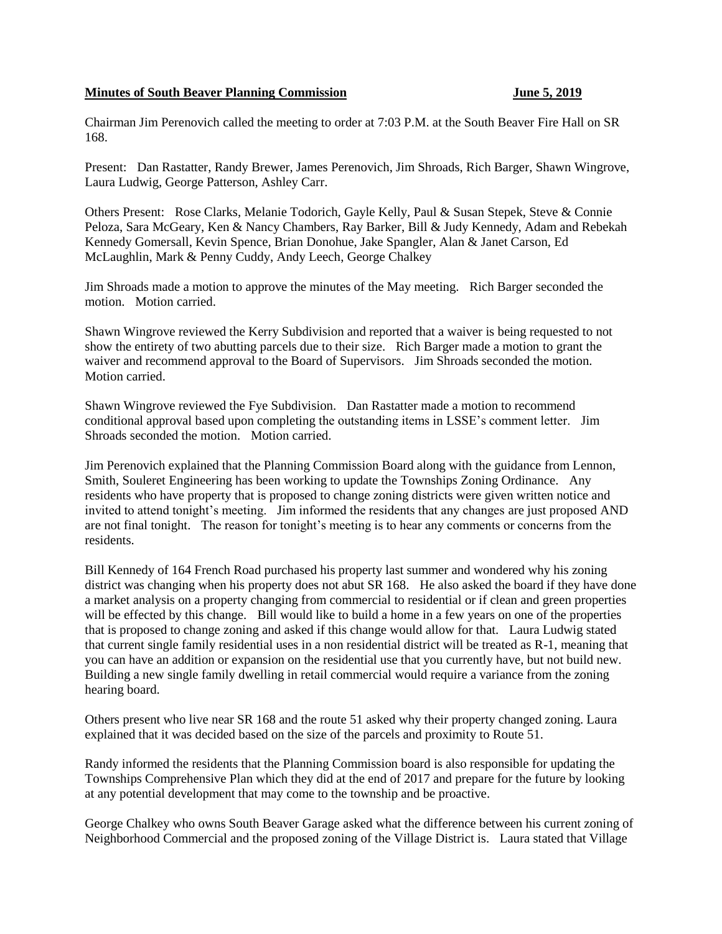## **Minutes of South Beaver Planning Commission June 5, 2019**

Chairman Jim Perenovich called the meeting to order at 7:03 P.M. at the South Beaver Fire Hall on SR 168.

Present: Dan Rastatter, Randy Brewer, James Perenovich, Jim Shroads, Rich Barger, Shawn Wingrove, Laura Ludwig, George Patterson, Ashley Carr.

Others Present: Rose Clarks, Melanie Todorich, Gayle Kelly, Paul & Susan Stepek, Steve & Connie Peloza, Sara McGeary, Ken & Nancy Chambers, Ray Barker, Bill & Judy Kennedy, Adam and Rebekah Kennedy Gomersall, Kevin Spence, Brian Donohue, Jake Spangler, Alan & Janet Carson, Ed McLaughlin, Mark & Penny Cuddy, Andy Leech, George Chalkey

Jim Shroads made a motion to approve the minutes of the May meeting. Rich Barger seconded the motion. Motion carried.

Shawn Wingrove reviewed the Kerry Subdivision and reported that a waiver is being requested to not show the entirety of two abutting parcels due to their size. Rich Barger made a motion to grant the waiver and recommend approval to the Board of Supervisors. Jim Shroads seconded the motion. Motion carried.

Shawn Wingrove reviewed the Fye Subdivision. Dan Rastatter made a motion to recommend conditional approval based upon completing the outstanding items in LSSE's comment letter. Jim Shroads seconded the motion. Motion carried.

Jim Perenovich explained that the Planning Commission Board along with the guidance from Lennon, Smith, Souleret Engineering has been working to update the Townships Zoning Ordinance. Any residents who have property that is proposed to change zoning districts were given written notice and invited to attend tonight's meeting. Jim informed the residents that any changes are just proposed AND are not final tonight. The reason for tonight's meeting is to hear any comments or concerns from the residents.

Bill Kennedy of 164 French Road purchased his property last summer and wondered why his zoning district was changing when his property does not abut SR 168. He also asked the board if they have done a market analysis on a property changing from commercial to residential or if clean and green properties will be effected by this change. Bill would like to build a home in a few years on one of the properties that is proposed to change zoning and asked if this change would allow for that. Laura Ludwig stated that current single family residential uses in a non residential district will be treated as R-1, meaning that you can have an addition or expansion on the residential use that you currently have, but not build new. Building a new single family dwelling in retail commercial would require a variance from the zoning hearing board.

Others present who live near SR 168 and the route 51 asked why their property changed zoning. Laura explained that it was decided based on the size of the parcels and proximity to Route 51.

Randy informed the residents that the Planning Commission board is also responsible for updating the Townships Comprehensive Plan which they did at the end of 2017 and prepare for the future by looking at any potential development that may come to the township and be proactive.

George Chalkey who owns South Beaver Garage asked what the difference between his current zoning of Neighborhood Commercial and the proposed zoning of the Village District is. Laura stated that Village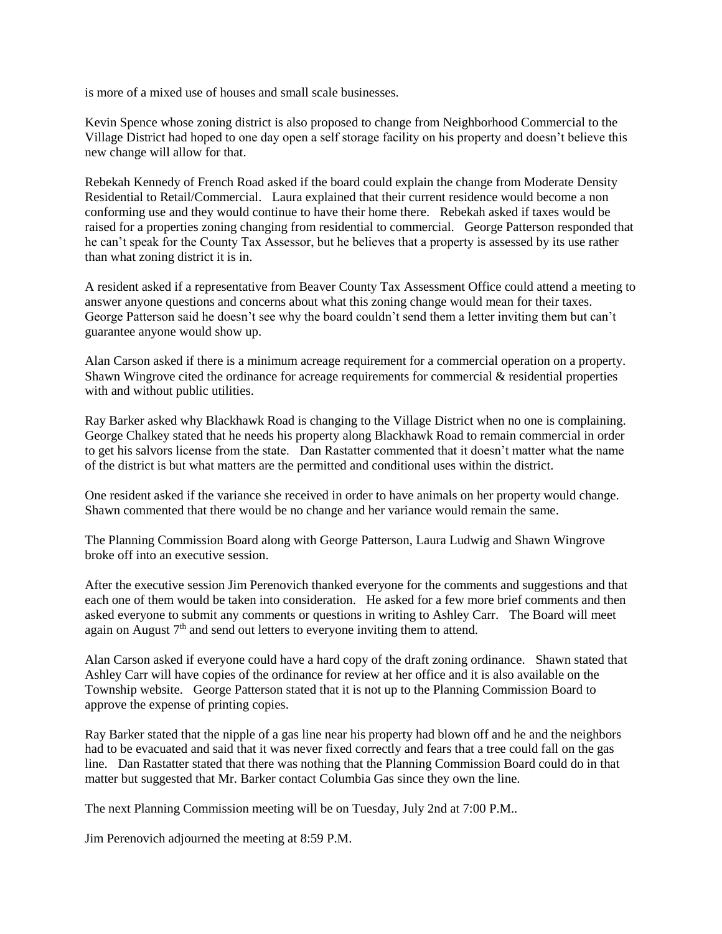is more of a mixed use of houses and small scale businesses.

Kevin Spence whose zoning district is also proposed to change from Neighborhood Commercial to the Village District had hoped to one day open a self storage facility on his property and doesn't believe this new change will allow for that.

Rebekah Kennedy of French Road asked if the board could explain the change from Moderate Density Residential to Retail/Commercial. Laura explained that their current residence would become a non conforming use and they would continue to have their home there. Rebekah asked if taxes would be raised for a properties zoning changing from residential to commercial. George Patterson responded that he can't speak for the County Tax Assessor, but he believes that a property is assessed by its use rather than what zoning district it is in.

A resident asked if a representative from Beaver County Tax Assessment Office could attend a meeting to answer anyone questions and concerns about what this zoning change would mean for their taxes. George Patterson said he doesn't see why the board couldn't send them a letter inviting them but can't guarantee anyone would show up.

Alan Carson asked if there is a minimum acreage requirement for a commercial operation on a property. Shawn Wingrove cited the ordinance for acreage requirements for commercial  $\&$  residential properties with and without public utilities.

Ray Barker asked why Blackhawk Road is changing to the Village District when no one is complaining. George Chalkey stated that he needs his property along Blackhawk Road to remain commercial in order to get his salvors license from the state. Dan Rastatter commented that it doesn't matter what the name of the district is but what matters are the permitted and conditional uses within the district.

One resident asked if the variance she received in order to have animals on her property would change. Shawn commented that there would be no change and her variance would remain the same.

The Planning Commission Board along with George Patterson, Laura Ludwig and Shawn Wingrove broke off into an executive session.

After the executive session Jim Perenovich thanked everyone for the comments and suggestions and that each one of them would be taken into consideration. He asked for a few more brief comments and then asked everyone to submit any comments or questions in writing to Ashley Carr. The Board will meet again on August 7<sup>th</sup> and send out letters to everyone inviting them to attend.

Alan Carson asked if everyone could have a hard copy of the draft zoning ordinance. Shawn stated that Ashley Carr will have copies of the ordinance for review at her office and it is also available on the Township website. George Patterson stated that it is not up to the Planning Commission Board to approve the expense of printing copies.

Ray Barker stated that the nipple of a gas line near his property had blown off and he and the neighbors had to be evacuated and said that it was never fixed correctly and fears that a tree could fall on the gas line. Dan Rastatter stated that there was nothing that the Planning Commission Board could do in that matter but suggested that Mr. Barker contact Columbia Gas since they own the line.

The next Planning Commission meeting will be on Tuesday, July 2nd at 7:00 P.M..

Jim Perenovich adjourned the meeting at 8:59 P.M.